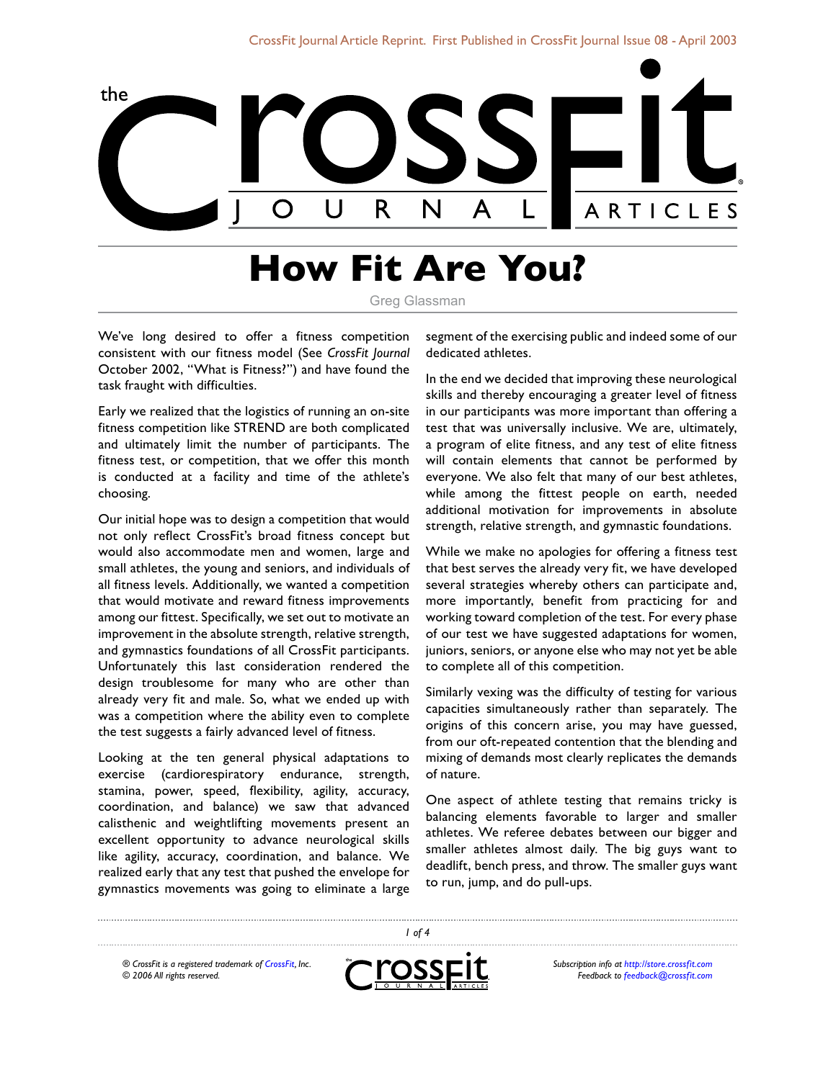

# **How Fit Are You?**

Greg Glassman

We've long desired to offer a fitness competition consistent with our fitness model (See *CrossFit Journal*  October 2002, "What is Fitness?") and have found the task fraught with difficulties.

Early we realized that the logistics of running an on-site fitness competition lik[e STREND](http://www.strend.com) are both complicated and ultimately limit the number of participants. The fitness test, or competition, that we offer this month is conducted at a facility and time of the athlete's choosing.

Our initial hope was to design a competition that would not only reflect CrossFit's broad fitness concept but would also accommodate men and women, large and small athletes, the young and seniors, and individuals of all fitness levels. Additionally, we wanted a competition that would motivate and reward fitness improvements among our fittest. Specifically, we set out to motivate an improvement in the absolute strength, relative strength, and gymnastics foundations of all CrossFit participants. Unfortunately this last consideration rendered the design troublesome for many who are other than already very fit and male. So, what we ended up with was a competition where the ability even to complete the test suggests a fairly advanced level of fitness.

Looking at the ten general physical adaptations to exercise (cardiorespiratory endurance, strength, stamina, power, speed, flexibility, agility, accuracy, coordination, and balance) we saw that advanced calisthenic and weightlifting movements present an excellent opportunity to advance neurological skills like agility, accuracy, coordination, and balance. We realized early that any test that pushed the envelope for gymnastics movements was going to eliminate a large segment of the exercising public and indeed some of our dedicated athletes.

In the end we decided that improving these neurological skills and thereby encouraging a greater level of fitness in our participants was more important than offering a test that was universally inclusive. We are, ultimately, a program of elite fitness, and any test of elite fitness will contain elements that cannot be performed by everyone. We also felt that many of our best athletes, while among the fittest people on earth, needed additional motivation for improvements in absolute strength, relative strength, and gymnastic foundations.

While we make no apologies for offering a fitness test that best serves the already very fit, we have developed several strategies whereby others can participate and, more importantly, benefit from practicing for and working toward completion of the test. For every phase of our test we have suggested adaptations for women, juniors, seniors, or anyone else who may not yet be able to complete all of this competition.

Similarly vexing was the difficulty of testing for various capacities simultaneously rather than separately. The origins of this concern arise, you may have guessed, from our oft-repeated contention that the blending and mixing of demands most clearly replicates the demands of nature.

One aspect of athlete testing that remains tricky is balancing elements favorable to larger and smaller athletes. We referee debates between our bigger and smaller athletes almost daily. The big guys want to deadlift, bench press, and throw. The smaller guys want to run, jump, and do pull-ups.

*® CrossFit is a registered trademark of [CrossFit,](http://www.crossfit.com) Inc. © 2006 All rights reserved.*



 *of 4*

*Subscription info at [http://store.crossfit.com](http://journal.crossfit.com) Feedback to [feedback@crossfit.com](mailto:feedback@crossfit.com)*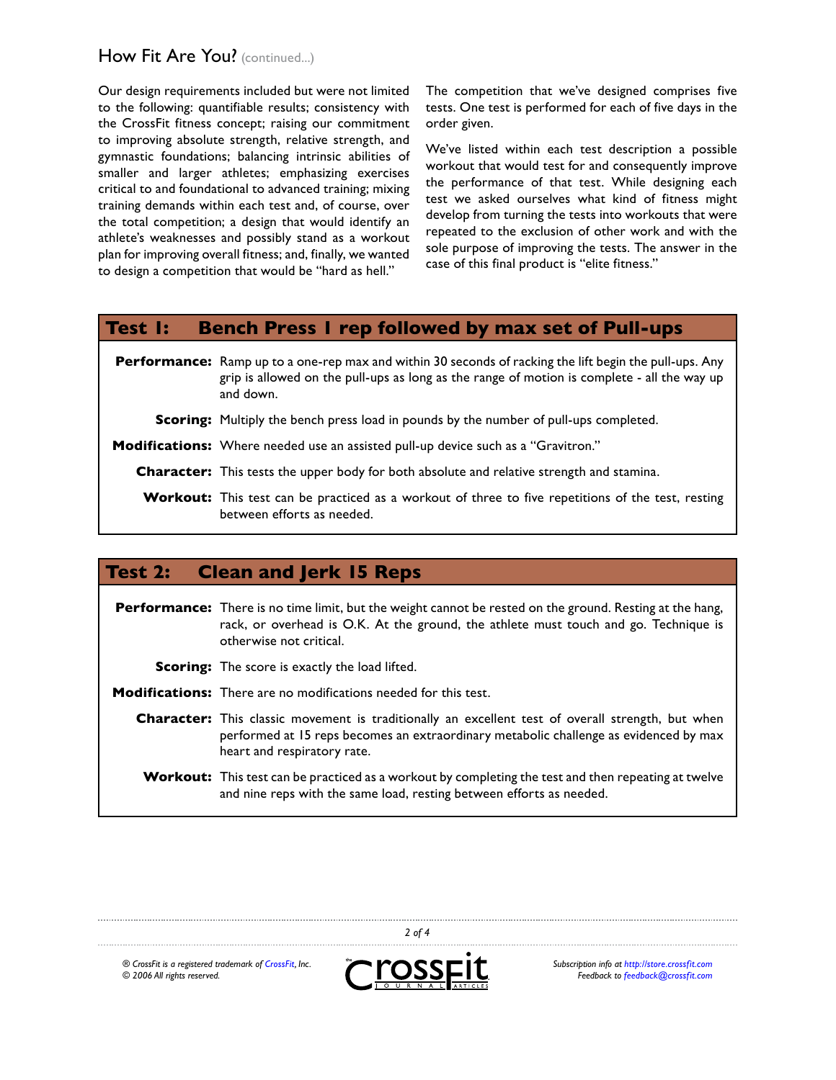# How Fit Are You? (continued...)

Our design requirements included but were not limited to the following: quantifiable results; consistency with the CrossFit fitness concept; raising our commitment to improving absolute strength, relative strength, and gymnastic foundations; balancing intrinsic abilities of smaller and larger athletes; emphasizing exercises critical to and foundational to advanced training; mixing training demands within each test and, of course, over the total competition; a design that would identify an athlete's weaknesses and possibly stand as a workout plan for improving overall fitness; and, finally, we wanted to design a competition that would be "hard as hell."

The competition that we've designed comprises five tests. One test is performed for each of five days in the order given.

We've listed within each test description a possible workout that would test for and consequently improve the performance of that test. While designing each test we asked ourselves what kind of fitness might develop from turning the tests into workouts that were repeated to the exclusion of other work and with the sole purpose of improving the tests. The answer in the case of this final product is "elite fitness."

### **Test 1: Bench Press 1 rep followed by max set of Pull-ups**

**Performance:** Ramp up to a one-rep max and within 30 seconds of racking the lift begin the pull-ups. Any grip is allowed on the pull-ups as long as the range of motion is complete - all the way up and down.

**Scoring:** Multiply the bench press load in pounds by the number of pull-ups completed.

**Modifications:** Where needed use an assisted pull-up device such as a "Gravitron."

**Character:** This tests the upper body for both absolute and relative strength and stamina.

Workout: This test can be practiced as a workout of three to five repetitions of the test, resting between efforts as needed.

### **Test 2: Clean and Jerk 15 Reps**

**Performance:** There is no time limit, but the weight cannot be rested on the ground. Resting at the hang, rack, or overhead is O.K. At the ground, the athlete must touch and go. Technique is otherwise not critical.

- **Scoring:** The score is exactly the load lifted.
- **Modifications:** There are no modifications needed for this test.
	- **Character:** This classic movement is traditionally an excellent test of overall strength, but when performed at 15 reps becomes an extraordinary metabolic challenge as evidenced by max heart and respiratory rate.
	- **Workout:** This test can be practiced as a workout by completing the test and then repeating at twelve and nine reps with the same load, resting between efforts as needed.

*® CrossFit is a registered trademark of [CrossFit,](http://www.crossfit.com) Inc. © 2006 All rights reserved.*



 *of 4*

*Subscription info at [http://store.crossfit.com](http://journal.crossfit.com) Feedback to [feedback@crossfit.com](mailto:feedback@crossfit.com)*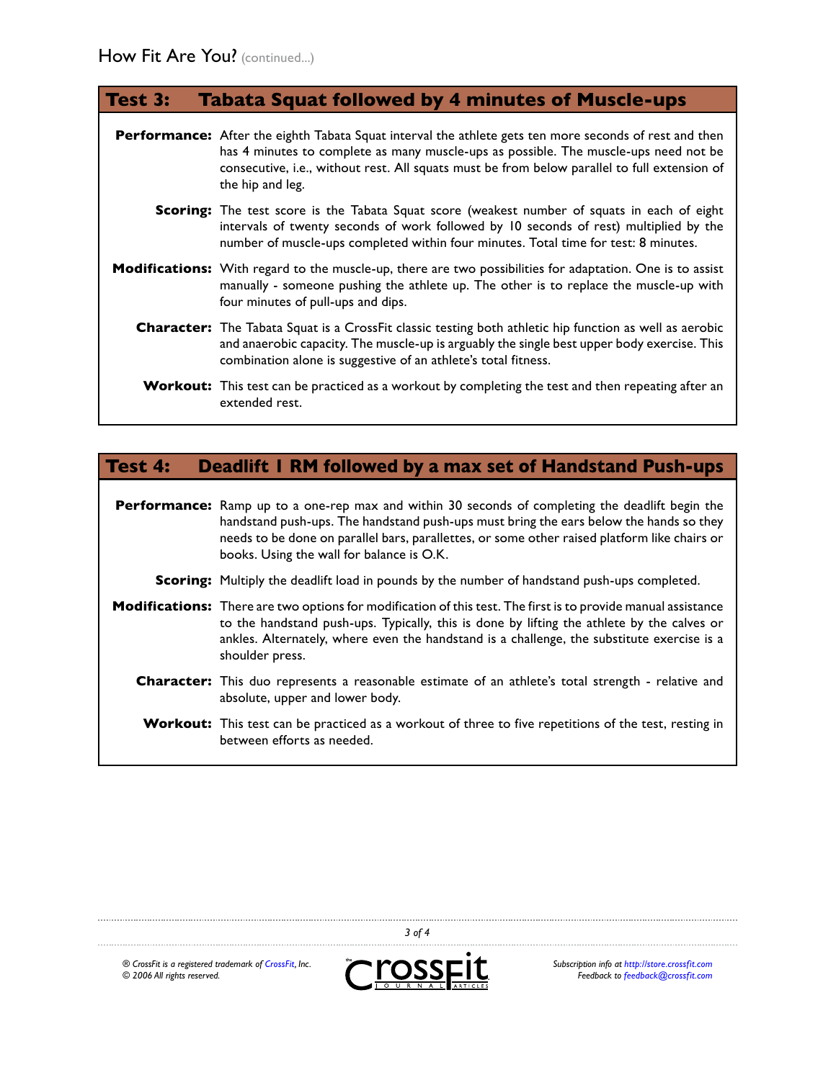## **Test 3: Tabata Squat followed by 4 minutes of Muscle-ups**

**Performance:** After the eighth Tabata Squat interval the athlete gets ten more seconds of rest and then has 4 minutes to complete as many muscle-ups as possible. The muscle-ups need not be consecutive, i.e., without rest. All squats must be from below parallel to full extension of the hip and leg.

- **Scoring:** The test score is the Tabata Squat score (weakest number of squats in each of eight intervals of twenty seconds of work followed by 10 seconds of rest) multiplied by the number of muscle-ups completed within four minutes. Total time for test: 8 minutes.
- **Modifications:** With regard to the muscle-up, there are two possibilities for adaptation. One is to assist manually - someone pushing the athlete up. The other is to replace the muscle-up with four minutes of pull-ups and dips.
	- **Character:** The Tabata Squat is a CrossFit classic testing both athletic hip function as well as aerobic and anaerobic capacity. The muscle-up is arguably the single best upper body exercise. This combination alone is suggestive of an athlete's total fitness.

**Workout:** This test can be practiced as a workout by completing the test and then repeating after an extended rest.

## **Test 4: Deadlift 1 RM followed by a max set of Handstand Push-ups**

**Performance:** Ramp up to a one-rep max and within 30 seconds of completing the deadlift begin the handstand push-ups. The handstand push-ups must bring the ears below the hands so they needs to be done on parallel bars, parallettes, or some other raised platform like chairs or books. Using the wall for balance is O.K.

- **Scoring:** Multiply the deadlift load in pounds by the number of handstand push-ups completed.
- **Modifications:** There are two options for modification of this test. The first is to provide manual assistance to the handstand push-ups. Typically, this is done by lifting the athlete by the calves or ankles. Alternately, where even the handstand is a challenge, the substitute exercise is a shoulder press.
	- **Character:** This duo represents a reasonable estimate of an athlete's total strength relative and absolute, upper and lower body.
	- **Workout:** This test can be practiced as a workout of three to five repetitions of the test, resting in between efforts as needed.